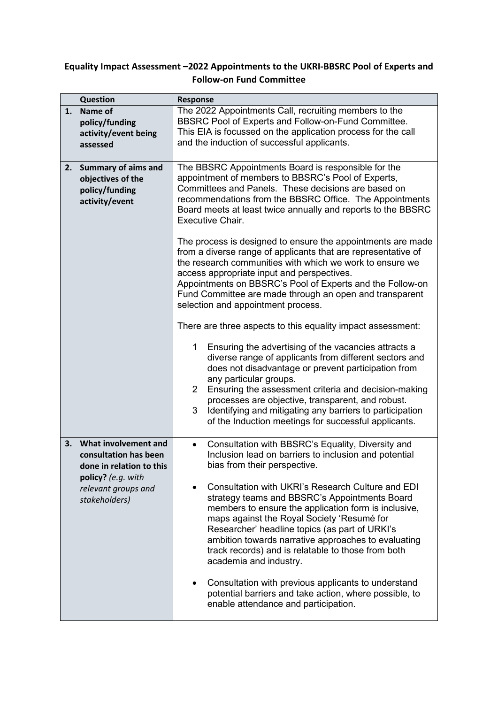## **Equality Impact Assessment –2022 Appointments to the UKRI-BBSRC Pool of Experts and Follow-on Fund Committee**

|    | <b>Question</b>                                                                                                                         | <b>Response</b>                                                                                                                                                                                                                                                                                                                                                                                                                                                                                                                                                                                                                                                                                                                                                                                                                                                                                                                                                                                                                                                                                                                                                                                 |  |
|----|-----------------------------------------------------------------------------------------------------------------------------------------|-------------------------------------------------------------------------------------------------------------------------------------------------------------------------------------------------------------------------------------------------------------------------------------------------------------------------------------------------------------------------------------------------------------------------------------------------------------------------------------------------------------------------------------------------------------------------------------------------------------------------------------------------------------------------------------------------------------------------------------------------------------------------------------------------------------------------------------------------------------------------------------------------------------------------------------------------------------------------------------------------------------------------------------------------------------------------------------------------------------------------------------------------------------------------------------------------|--|
| 1. | Name of<br>policy/funding<br>activity/event being<br>assessed                                                                           | The 2022 Appointments Call, recruiting members to the<br>BBSRC Pool of Experts and Follow-on-Fund Committee.<br>This EIA is focussed on the application process for the call<br>and the induction of successful applicants.                                                                                                                                                                                                                                                                                                                                                                                                                                                                                                                                                                                                                                                                                                                                                                                                                                                                                                                                                                     |  |
| 2. | <b>Summary of aims and</b><br>objectives of the<br>policy/funding<br>activity/event                                                     | appointment of members to BBSRC's Pool of Experts,<br>Committees and Panels. These decisions are based on<br>recommendations from the BBSRC Office. The Appointments<br>Board meets at least twice annually and reports to the BBSRC<br>Executive Chair.<br>The process is designed to ensure the appointments are made<br>from a diverse range of applicants that are representative of<br>the research communities with which we work to ensure we<br>access appropriate input and perspectives.<br>Appointments on BBSRC's Pool of Experts and the Follow-on<br>Fund Committee are made through an open and transparent<br>selection and appointment process.<br>There are three aspects to this equality impact assessment:<br>Ensuring the advertising of the vacancies attracts a<br>1<br>diverse range of applicants from different sectors and<br>does not disadvantage or prevent participation from<br>any particular groups.<br>$\overline{2}$<br>Ensuring the assessment criteria and decision-making<br>processes are objective, transparent, and robust.<br>3<br>Identifying and mitigating any barriers to participation<br>of the Induction meetings for successful applicants. |  |
| 3. | What involvement and<br>consultation has been<br>done in relation to this<br>policy? (e.g. with<br>relevant groups and<br>stakeholders) | Consultation with BBSRC's Equality, Diversity and<br>$\bullet$<br>Inclusion lead on barriers to inclusion and potential<br>bias from their perspective.<br>Consultation with UKRI's Research Culture and EDI<br>strategy teams and BBSRC's Appointments Board<br>members to ensure the application form is inclusive,<br>maps against the Royal Society 'Resumé for<br>Researcher' headline topics (as part of URKI's<br>ambition towards narrative approaches to evaluating<br>track records) and is relatable to those from both<br>academia and industry.<br>Consultation with previous applicants to understand<br>potential barriers and take action, where possible, to<br>enable attendance and participation.                                                                                                                                                                                                                                                                                                                                                                                                                                                                           |  |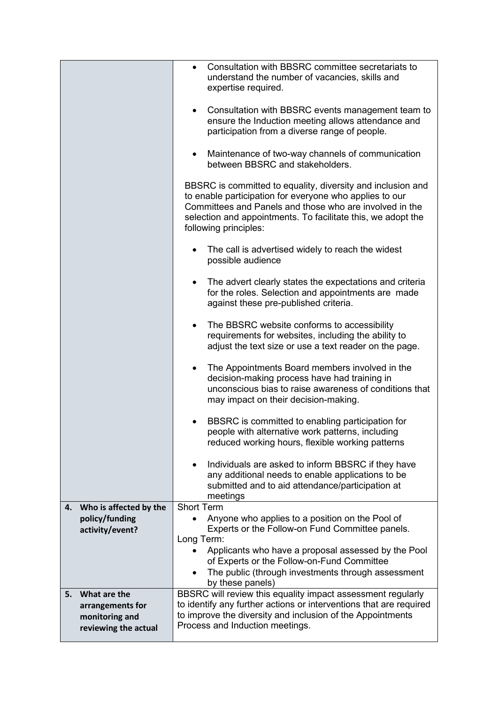|                                                                                  | Consultation with BBSRC committee secretariats to<br>$\bullet$<br>understand the number of vacancies, skills and<br>expertise required.                                                                                                                                    |
|----------------------------------------------------------------------------------|----------------------------------------------------------------------------------------------------------------------------------------------------------------------------------------------------------------------------------------------------------------------------|
|                                                                                  | • Consultation with BBSRC events management team to<br>ensure the Induction meeting allows attendance and<br>participation from a diverse range of people.                                                                                                                 |
|                                                                                  | Maintenance of two-way channels of communication<br>$\bullet$<br>between BBSRC and stakeholders.                                                                                                                                                                           |
|                                                                                  | BBSRC is committed to equality, diversity and inclusion and<br>to enable participation for everyone who applies to our<br>Committees and Panels and those who are involved in the<br>selection and appointments. To facilitate this, we adopt the<br>following principles: |
|                                                                                  | The call is advertised widely to reach the widest<br>$\bullet$<br>possible audience                                                                                                                                                                                        |
|                                                                                  | The advert clearly states the expectations and criteria<br>$\bullet$<br>for the roles. Selection and appointments are made<br>against these pre-published criteria.                                                                                                        |
|                                                                                  | The BBSRC website conforms to accessibility<br>$\bullet$<br>requirements for websites, including the ability to<br>adjust the text size or use a text reader on the page.                                                                                                  |
|                                                                                  | The Appointments Board members involved in the<br>$\bullet$<br>decision-making process have had training in<br>unconscious bias to raise awareness of conditions that<br>may impact on their decision-making.                                                              |
|                                                                                  | BBSRC is committed to enabling participation for<br>$\bullet$<br>people with alternative work patterns, including<br>reduced working hours, flexible working patterns                                                                                                      |
|                                                                                  | Individuals are asked to inform BBSRC if they have<br>any additional needs to enable applications to be<br>submitted and to aid attendance/participation at<br>meetings                                                                                                    |
| Who is affected by the<br>4.<br>policy/funding                                   | <b>Short Term</b><br>Anyone who applies to a position on the Pool of                                                                                                                                                                                                       |
| activity/event?                                                                  | Experts or the Follow-on Fund Committee panels.                                                                                                                                                                                                                            |
|                                                                                  | Long Term:<br>Applicants who have a proposal assessed by the Pool<br>of Experts or the Follow-on-Fund Committee<br>The public (through investments through assessment<br>by these panels)                                                                                  |
| What are the<br>5.<br>arrangements for<br>monitoring and<br>reviewing the actual | BBSRC will review this equality impact assessment regularly<br>to identify any further actions or interventions that are required<br>to improve the diversity and inclusion of the Appointments<br>Process and Induction meetings.                                         |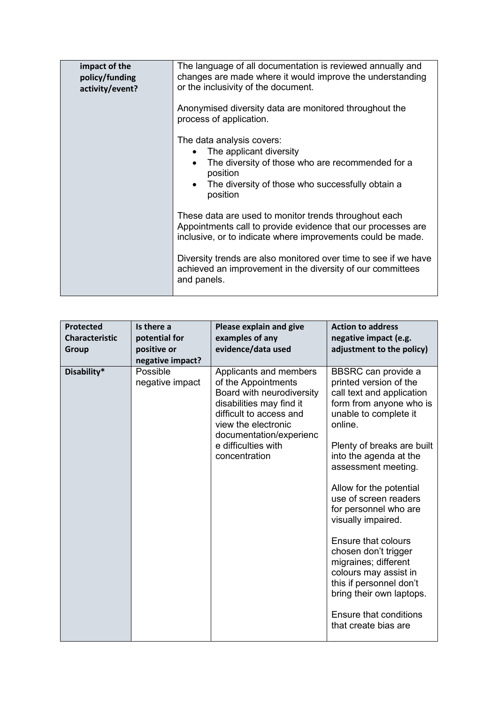| impact of the<br>policy/funding<br>activity/event? | The language of all documentation is reviewed annually and<br>changes are made where it would improve the understanding<br>or the inclusivity of the document.                                                 |
|----------------------------------------------------|----------------------------------------------------------------------------------------------------------------------------------------------------------------------------------------------------------------|
|                                                    | Anonymised diversity data are monitored throughout the<br>process of application.                                                                                                                              |
|                                                    | The data analysis covers:<br>The applicant diversity<br>The diversity of those who are recommended for a<br>$\bullet$<br>position<br>The diversity of those who successfully obtain a<br>$\bullet$<br>position |
|                                                    | These data are used to monitor trends throughout each<br>Appointments call to provide evidence that our processes are<br>inclusive, or to indicate where improvements could be made.                           |
|                                                    | Diversity trends are also monitored over time to see if we have<br>achieved an improvement in the diversity of our committees<br>and panels.                                                                   |

| <b>Protected</b><br><b>Characteristic</b><br>Group | Is there a<br>potential for<br>positive or<br>negative impact? | Please explain and give<br>examples of any<br>evidence/data used                                                                                                                                                            | <b>Action to address</b><br>negative impact (e.g.<br>adjustment to the policy)                                                                                                                                                                                                                                                                                                                                                                                                                                                              |
|----------------------------------------------------|----------------------------------------------------------------|-----------------------------------------------------------------------------------------------------------------------------------------------------------------------------------------------------------------------------|---------------------------------------------------------------------------------------------------------------------------------------------------------------------------------------------------------------------------------------------------------------------------------------------------------------------------------------------------------------------------------------------------------------------------------------------------------------------------------------------------------------------------------------------|
| Disability*                                        | Possible<br>negative impact                                    | Applicants and members<br>of the Appointments<br>Board with neurodiversity<br>disabilities may find it<br>difficult to access and<br>view the electronic<br>documentation/experienc<br>e difficulties with<br>concentration | BBSRC can provide a<br>printed version of the<br>call text and application<br>form from anyone who is<br>unable to complete it<br>online.<br>Plenty of breaks are built<br>into the agenda at the<br>assessment meeting.<br>Allow for the potential<br>use of screen readers<br>for personnel who are<br>visually impaired.<br>Ensure that colours<br>chosen don't trigger<br>migraines; different<br>colours may assist in<br>this if personnel don't<br>bring their own laptops.<br><b>Ensure that conditions</b><br>that create bias are |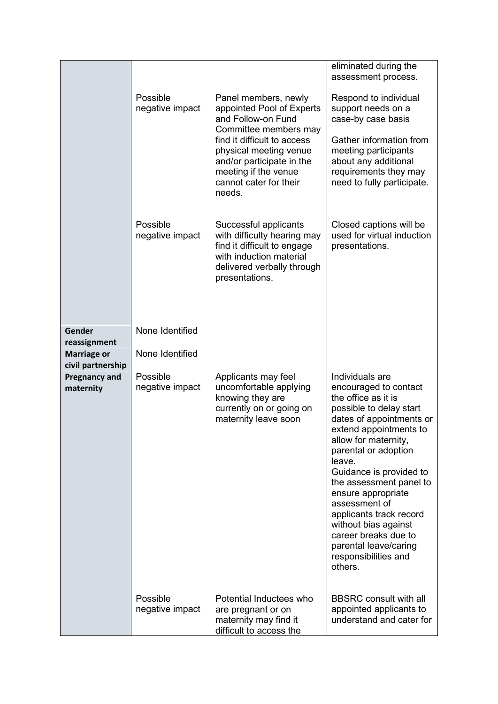|                                         |                             |                                                                                                                                                                                                                                                    | eliminated during the<br>assessment process.                                                                                                                                                                                                                                                                                                                                                                                |
|-----------------------------------------|-----------------------------|----------------------------------------------------------------------------------------------------------------------------------------------------------------------------------------------------------------------------------------------------|-----------------------------------------------------------------------------------------------------------------------------------------------------------------------------------------------------------------------------------------------------------------------------------------------------------------------------------------------------------------------------------------------------------------------------|
|                                         | Possible<br>negative impact | Panel members, newly<br>appointed Pool of Experts<br>and Follow-on Fund<br>Committee members may<br>find it difficult to access<br>physical meeting venue<br>and/or participate in the<br>meeting if the venue<br>cannot cater for their<br>needs. | Respond to individual<br>support needs on a<br>case-by case basis<br>Gather information from<br>meeting participants<br>about any additional<br>requirements they may<br>need to fully participate.                                                                                                                                                                                                                         |
|                                         | Possible<br>negative impact | Successful applicants<br>with difficulty hearing may<br>find it difficult to engage<br>with induction material<br>delivered verbally through<br>presentations.                                                                                     | Closed captions will be<br>used for virtual induction<br>presentations.                                                                                                                                                                                                                                                                                                                                                     |
| Gender                                  | None Identified             |                                                                                                                                                                                                                                                    |                                                                                                                                                                                                                                                                                                                                                                                                                             |
| reassignment                            |                             |                                                                                                                                                                                                                                                    |                                                                                                                                                                                                                                                                                                                                                                                                                             |
| <b>Marriage or</b><br>civil partnership | None Identified             |                                                                                                                                                                                                                                                    |                                                                                                                                                                                                                                                                                                                                                                                                                             |
| <b>Pregnancy and</b>                    | Possible                    | Applicants may feel                                                                                                                                                                                                                                | Individuals are                                                                                                                                                                                                                                                                                                                                                                                                             |
| maternity                               | negative impact             | uncomfortable applying<br>knowing they are<br>currently on or going on<br>maternity leave soon                                                                                                                                                     | encouraged to contact<br>the office as it is<br>possible to delay start<br>dates of appointments or<br>extend appointments to<br>allow for maternity,<br>parental or adoption<br>leave.<br>Guidance is provided to<br>the assessment panel to<br>ensure appropriate<br>assessment of<br>applicants track record<br>without bias against<br>career breaks due to<br>parental leave/caring<br>responsibilities and<br>others. |
|                                         | Possible<br>negative impact | Potential Inductees who<br>are pregnant or on<br>maternity may find it<br>difficult to access the                                                                                                                                                  | <b>BBSRC</b> consult with all<br>appointed applicants to<br>understand and cater for                                                                                                                                                                                                                                                                                                                                        |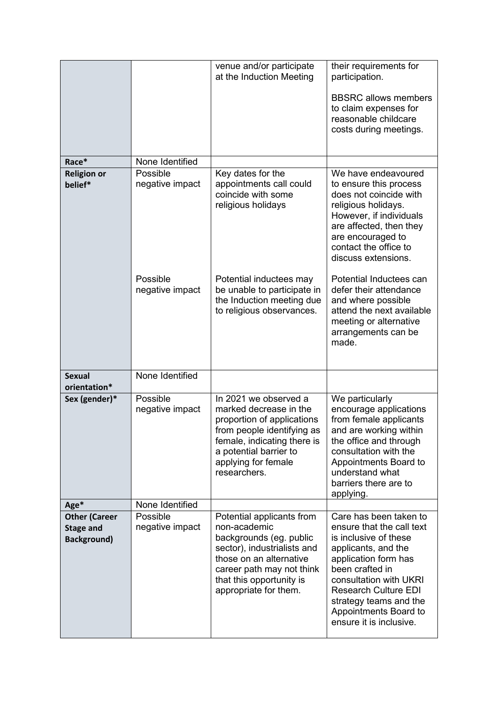|                                                                |                             | venue and/or participate<br>at the Induction Meeting                                                                                                                                                             | their requirements for<br>participation.<br><b>BBSRC</b> allows members<br>to claim expenses for<br>reasonable childcare<br>costs during meetings.                                                                                                                                    |
|----------------------------------------------------------------|-----------------------------|------------------------------------------------------------------------------------------------------------------------------------------------------------------------------------------------------------------|---------------------------------------------------------------------------------------------------------------------------------------------------------------------------------------------------------------------------------------------------------------------------------------|
| Race*                                                          | None Identified             |                                                                                                                                                                                                                  |                                                                                                                                                                                                                                                                                       |
| <b>Religion or</b>                                             | Possible                    | Key dates for the                                                                                                                                                                                                | We have endeavoured                                                                                                                                                                                                                                                                   |
| belief*                                                        | negative impact             | appointments call could<br>coincide with some<br>religious holidays                                                                                                                                              | to ensure this process<br>does not coincide with<br>religious holidays.<br>However, if individuals<br>are affected, then they<br>are encouraged to<br>contact the office to<br>discuss extensions.                                                                                    |
|                                                                | Possible<br>negative impact | Potential inductees may<br>be unable to participate in<br>the Induction meeting due<br>to religious observances.                                                                                                 | Potential Inductees can<br>defer their attendance<br>and where possible<br>attend the next available<br>meeting or alternative<br>arrangements can be<br>made.                                                                                                                        |
| <b>Sexual</b><br>orientation*                                  | None Identified             |                                                                                                                                                                                                                  |                                                                                                                                                                                                                                                                                       |
| Sex (gender)*                                                  | Possible<br>negative impact | In 2021 we observed a<br>marked decrease in the<br>proportion of applications<br>from people identifying as<br>female, indicating there is<br>a potential barrier to<br>applying for female<br>researchers.      | We particularly<br>encourage applications<br>from female applicants<br>and are working within<br>the office and through<br>consultation with the<br>Appointments Board to<br>understand what<br>barriers there are to<br>applying.                                                    |
| Age*                                                           | None Identified             |                                                                                                                                                                                                                  |                                                                                                                                                                                                                                                                                       |
| <b>Other (Career</b><br><b>Stage and</b><br><b>Background)</b> | Possible<br>negative impact | Potential applicants from<br>non-academic<br>backgrounds (eg. public<br>sector), industrialists and<br>those on an alternative<br>career path may not think<br>that this opportunity is<br>appropriate for them. | Care has been taken to<br>ensure that the call text<br>is inclusive of these<br>applicants, and the<br>application form has<br>been crafted in<br>consultation with UKRI<br><b>Research Culture EDI</b><br>strategy teams and the<br>Appointments Board to<br>ensure it is inclusive. |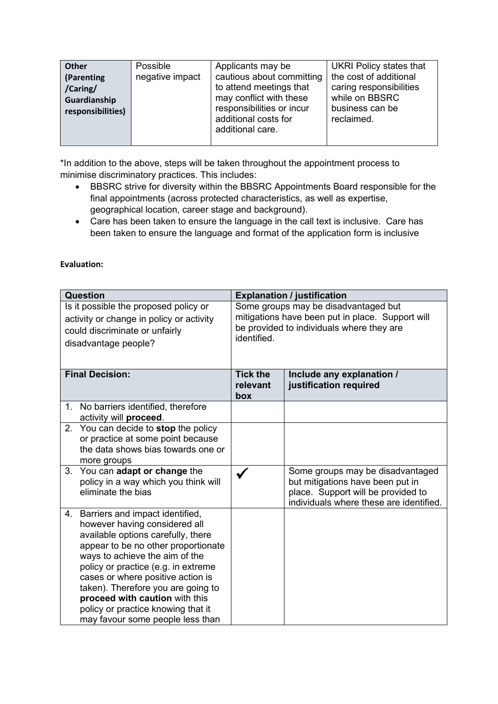| <b>Other</b>      | <b>Possible</b> | Applicants may be         | <b>UKRI Policy states that</b> |
|-------------------|-----------------|---------------------------|--------------------------------|
| <b>Parenting</b>  | negative impact | cautious about committing | the cost of additional         |
| /Caring/          |                 | to attend meetings that   | caring responsibilities        |
| Guardianship      |                 | may conflict with these   | while on BBSRC                 |
| responsibilities) |                 | responsibilities or incur | business can be                |
|                   |                 | additional costs for      | reclaimed.                     |
|                   |                 | additional care.          |                                |
|                   |                 |                           |                                |

\*In addition to the above, steps will be taken throughout the appointment process to minimise discriminatory practices. This includes:

- BBSRC strive for diversity within the BBSRC Appointments Board responsible for the final appointments (across protected characteristics, as well as expertise, geographical location, career stage and background).
- Care has been taken to ensure the language in the call text is inclusive. Care has been taken to ensure the language and format of the application form is inclusive

| Question                                                                                                                                    |                                                                                                                                                                                                                                                                                                                                                                                                                  | <b>Explanation / justification</b>                                                                                                                   |                                                                                                                                                       |  |
|---------------------------------------------------------------------------------------------------------------------------------------------|------------------------------------------------------------------------------------------------------------------------------------------------------------------------------------------------------------------------------------------------------------------------------------------------------------------------------------------------------------------------------------------------------------------|------------------------------------------------------------------------------------------------------------------------------------------------------|-------------------------------------------------------------------------------------------------------------------------------------------------------|--|
| Is it possible the proposed policy or<br>activity or change in policy or activity<br>could discriminate or unfairly<br>disadvantage people? |                                                                                                                                                                                                                                                                                                                                                                                                                  | Some groups may be disadvantaged but<br>mitigations have been put in place. Support will<br>be provided to individuals where they are<br>identified. |                                                                                                                                                       |  |
| <b>Final Decision:</b>                                                                                                                      |                                                                                                                                                                                                                                                                                                                                                                                                                  | <b>Tick the</b><br>relevant<br>box                                                                                                                   | Include any explanation /<br>justification required                                                                                                   |  |
|                                                                                                                                             | 1. No barriers identified, therefore<br>activity will proceed.                                                                                                                                                                                                                                                                                                                                                   |                                                                                                                                                      |                                                                                                                                                       |  |
|                                                                                                                                             | 2. You can decide to stop the policy<br>or practice at some point because<br>the data shows bias towards one or<br>more groups                                                                                                                                                                                                                                                                                   |                                                                                                                                                      |                                                                                                                                                       |  |
|                                                                                                                                             | 3. You can adapt or change the<br>policy in a way which you think will<br>eliminate the bias                                                                                                                                                                                                                                                                                                                     |                                                                                                                                                      | Some groups may be disadvantaged<br>but mitigations have been put in<br>place. Support will be provided to<br>individuals where these are identified. |  |
|                                                                                                                                             | 4. Barriers and impact identified,<br>however having considered all<br>available options carefully, there<br>appear to be no other proportionate<br>ways to achieve the aim of the<br>policy or practice (e.g. in extreme<br>cases or where positive action is<br>taken). Therefore you are going to<br>proceed with caution with this<br>policy or practice knowing that it<br>may favour some people less than |                                                                                                                                                      |                                                                                                                                                       |  |

## **Evaluation:**